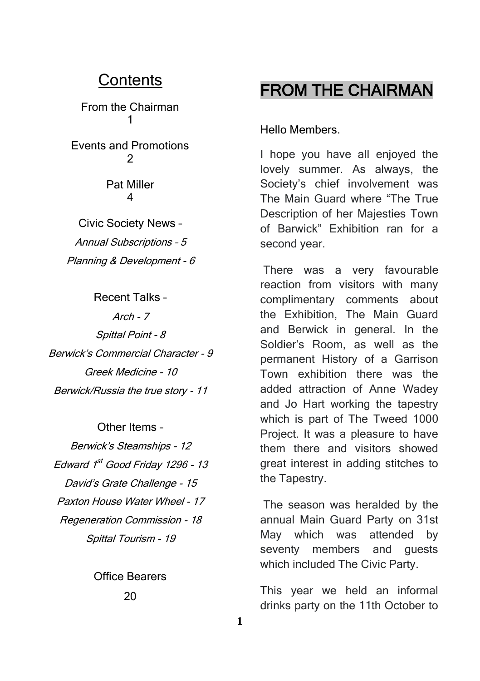### **Contents**

From the Chairman 1

Events and Promotions  $\mathfrak{p}$ 

> Pat Miller 4

Civic Society News – Annual Subscriptions – 5 Planning & Development - 6

Recent Talks –  $Arch - 7$ Spittal Point - 8 Berwick's Commercial Character - 9 Greek Medicine - 10 Berwick/Russia the true story - 11

Other Items – Berwick's Steamships - 12 Edward 1<sup>st</sup> Good Friday 1296 - 13 David's Grate Challenge - 15 Paxton House Water Wheel - 17 Regeneration Commission - 18 Spittal Tourism - 19

> Office Bearers 20

## FROM THE CHAIRMAN

#### Hello Members.

I hope you have all enjoyed the lovely summer. As always, the Society's chief involvement was The Main Guard where "The True Description of her Majesties Town of Barwick" Exhibition ran for a second year.

There was a very favourable reaction from visitors with many complimentary comments about the Exhibition, The Main Guard and Berwick in general. In the Soldier's Room, as well as the permanent History of a Garrison Town exhibition there was the added attraction of Anne Wadey and Jo Hart working the tapestry which is part of The Tweed 1000 Project. It was a pleasure to have them there and visitors showed great interest in adding stitches to the Tapestry.

The season was heralded by the annual Main Guard Party on 31st May which was attended by seventy members and quests which included The Civic Party.

This year we held an informal drinks party on the 11th October to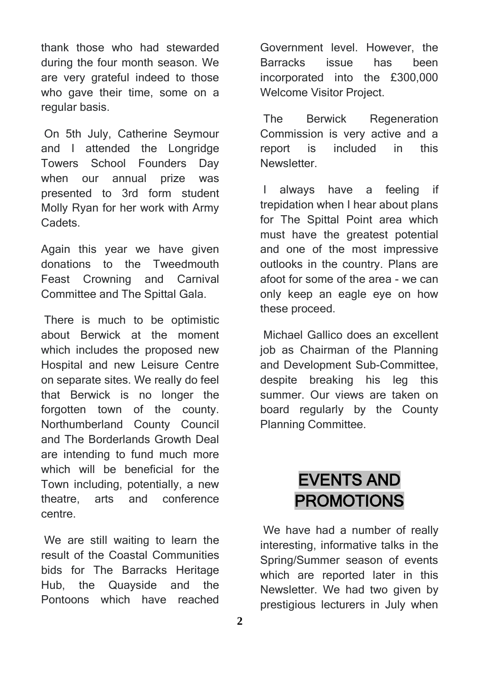thank those who had stewarded during the four month season. We are very grateful indeed to those who gave their time, some on a regular basis.

On 5th July, Catherine Seymour and I attended the Longridge Towers School Founders Day when our annual prize was presented to 3rd form student Molly Ryan for her work with Army Cadets.

Again this year we have given donations to the Tweedmouth Feast Crowning and Carnival Committee and The Spittal Gala.

There is much to be optimistic about Berwick at the moment which includes the proposed new Hospital and new Leisure Centre on separate sites. We really do feel that Berwick is no longer the forgotten town of the county. Northumberland County Council and The Borderlands Growth Deal are intending to fund much more which will be beneficial for the Town including, potentially, a new theatre, arts and conference centre.

We are still waiting to learn the result of the Coastal Communities bids for The Barracks Heritage Hub, the Quayside and the Pontoons which have reached

Government level. However, the Barracks issue has been incorporated into the £300,000 Welcome Visitor Project.

The Berwick Regeneration Commission is very active and a report is included in this **Newsletter** 

I always have a feeling if trepidation when I hear about plans for The Spittal Point area which must have the greatest potential and one of the most impressive outlooks in the country. Plans are afoot for some of the area - we can only keep an eagle eye on how these proceed.

Michael Gallico does an excellent job as Chairman of the Planning and Development Sub-Committee, despite breaking his leg this summer. Our views are taken on board regularly by the County Planning Committee.

## EVENTS AND PROMOTIONS

We have had a number of really interesting, informative talks in the Spring/Summer season of events which are reported later in this Newsletter. We had two given by prestigious lecturers in July when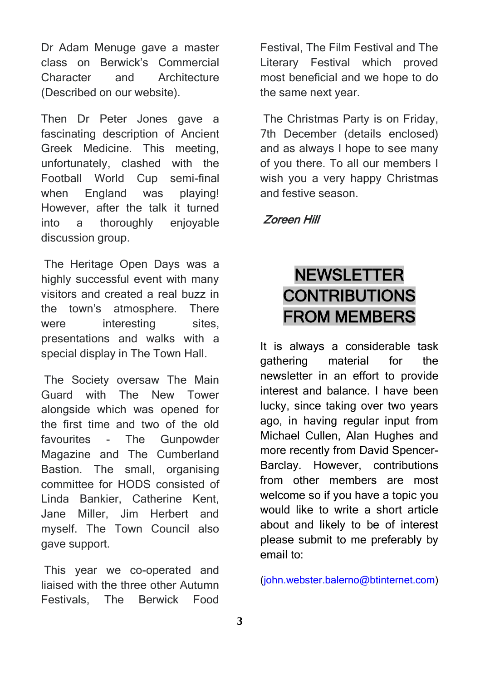Dr Adam Menuge gave a master class on Berwick's Commercial Character and Architecture (Described on our website).

Then Dr Peter Jones gave a fascinating description of Ancient Greek Medicine. This meeting, unfortunately, clashed with the Football World Cup semi-final when England was playing! However, after the talk it turned into a thoroughly enjoyable discussion group.

The Heritage Open Days was a highly successful event with many visitors and created a real buzz in the town's atmosphere. There were interesting sites. presentations and walks with a special display in The Town Hall.

The Society oversaw The Main Guard with The New Tower alongside which was opened for the first time and two of the old favourites - The Gunpowder Magazine and The Cumberland Bastion. The small, organising committee for HODS consisted of Linda Bankier, Catherine Kent, Jane Miller, Jim Herbert and myself. The Town Council also gave support.

This year we co-operated and liaised with the three other Autumn Festivals, The Berwick Food

Festival, The Film Festival and The Literary Festival which proved most beneficial and we hope to do the same next year.

The Christmas Party is on Friday, 7th December (details enclosed) and as always I hope to see many of you there. To all our members I wish you a very happy Christmas and festive season.

### Zoreen Hill

## **NEWSLETTER** CONTRIBUTIONS FROM MEMBERS

It is always a considerable task gathering material for the newsletter in an effort to provide interest and balance. I have been lucky, since taking over two years ago, in having regular input from Michael Cullen, Alan Hughes and more recently from David Spencer-Barclay. However, contributions from other members are most welcome so if you have a topic you would like to write a short article about and likely to be of interest please submit to me preferably by email to:

[\(john.webster.balerno@btinternet.com\)](mailto:john.webster.balerno@btinternet.com)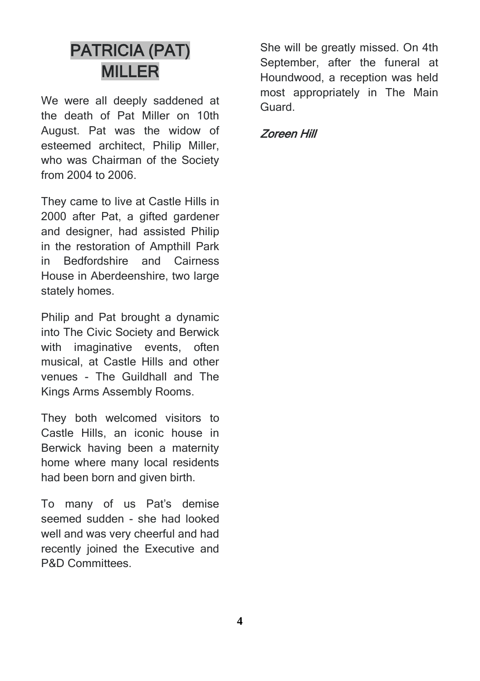## PATRICIA (PAT) MILLER

We were all deeply saddened at the death of Pat Miller on 10th August. Pat was the widow of esteemed architect, Philip Miller, who was Chairman of the Society from 2004 to 2006.

They came to live at Castle Hills in 2000 after Pat, a gifted gardener and designer, had assisted Philip in the restoration of Ampthill Park in Bedfordshire and Cairness House in Aberdeenshire, two large stately homes.

Philip and Pat brought a dynamic into The Civic Society and Berwick with imaginative events, often musical, at Castle Hills and other venues - The Guildhall and The Kings Arms Assembly Rooms.

They both welcomed visitors to Castle Hills, an iconic house in Berwick having been a maternity home where many local residents had been born and given birth.

To many of us Pat's demise seemed sudden - she had looked well and was very cheerful and had recently joined the Executive and P&D Committees.

She will be greatly missed. On 4th September, after the funeral at Houndwood, a reception was held most appropriately in The Main Guard.

### Zoreen Hill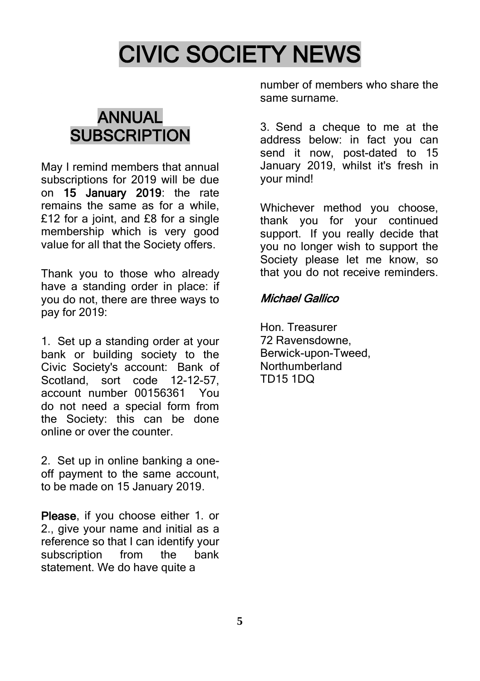# CIVIC SOCIETY NEWS

## ANNUAL **SUBSCRIPTION**

May I remind members that annual subscriptions for 2019 will be due on 15 January 2019: the rate remains the same as for a while, £12 for a joint, and £8 for a single membership which is very good value for all that the Society offers.

Thank you to those who already have a standing order in place: if you do not, there are three ways to pay for 2019:

1. Set up a standing order at your bank or building society to the Civic Society's account: Bank of Scotland, sort code 12-12-57, account number 00156361 You do not need a special form from the Society: this can be done online or over the counter.

2. Set up in online banking a oneoff payment to the same account, to be made on 15 January 2019.

Please, if you choose either 1. or 2., give your name and initial as a reference so that I can identify your subscription from the bank statement. We do have quite a

number of members who share the same surname.

3. Send a cheque to me at the address below: in fact you can send it now, post-dated to 15 January 2019, whilst it's fresh in your mind!

Whichever method you choose, thank you for your continued support. If you really decide that you no longer wish to support the Society please let me know, so that you do not receive reminders.

### Michael Gallico

Hon. Treasurer 72 Ravensdowne, Berwick-upon-Tweed, Northumberland TD15 1DQ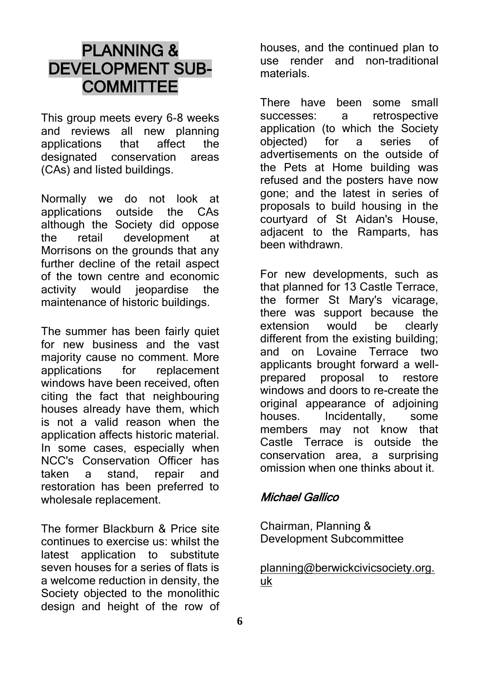## PLANNING & DEVELOPMENT SUB-**COMMITTEE**

This group meets every 6-8 weeks<br>and reviews all new planning all new planning<br>that affect the applications that affect the designated conservation areas (CAs) and listed buildings.

Normally we do not look at applications outside the CAs although the Society did oppose the retail development at Morrisons on the grounds that any further decline of the retail aspect of the town centre and economic activity would jeopardise the maintenance of historic buildings.

The summer has been fairly quiet for new business and the vast majority cause no comment. More<br>applications for replacement for replacement windows have been received, often citing the fact that neighbouring houses already have them, which is not a valid reason when the application affects historic material. In some cases, especially when NCC's Conservation Officer has taken a stand, repair and restoration has been preferred to wholesale replacement.

The former Blackburn & Price site continues to exercise us: whilst the latest application to substitute seven houses for a series of flats is a welcome reduction in density, the Society objected to the monolithic design and height of the row of houses, and the continued plan to use render and non-traditional materials.

There have been some small successes: a retrospective application (to which the Society objected) for a series of advertisements on the outside of the Pets at Home building was refused and the posters have now gone; and the latest in series of proposals to build housing in the courtyard of St Aidan's House, adjacent to the Ramparts, has been withdrawn.

For new developments, such as that planned for 13 Castle Terrace, the former St Mary's vicarage, there was support because the extension would be clearly different from the existing building; and on Lovaine Terrace two applicants brought forward a wellprepared proposal to restore windows and doors to re-create the original appearance of adjoining houses. Incidentally, some members may not know that Castle Terrace is outside the conservation area, a surprising omission when one thinks about it.

### Michael Gallico

Chairman, Planning & Development Subcommittee

[planning@berwickcivicsociety.org.](mailto:planning@berwickcivicsociety.org.uk) [uk](mailto:planning@berwickcivicsociety.org.uk)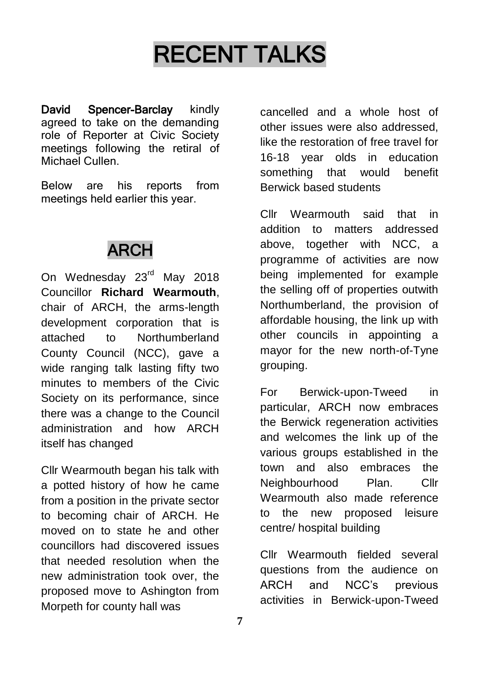# RECENT TALKS

David Spencer-Barclay kindly agreed to take on the demanding role of Reporter at Civic Society meetings following the retiral of Michael Cullen.

Below are his reports from meetings held earlier this year.

## ARCH

On Wednesday 23<sup>rd</sup> May 2018 Councillor **Richard Wearmouth**, chair of ARCH, the arms-length development corporation that is attached to Northumberland County Council (NCC), gave a wide ranging talk lasting fifty two minutes to members of the Civic Society on its performance, since there was a change to the Council administration and how ARCH itself has changed

Cllr Wearmouth began his talk with a potted history of how he came from a position in the private sector to becoming chair of ARCH. He moved on to state he and other councillors had discovered issues that needed resolution when the new administration took over, the proposed move to Ashington from Morpeth for county hall was

cancelled and a whole host of other issues were also addressed, like the restoration of free travel for 16-18 year olds in education something that would benefit Berwick based students

Cllr Wearmouth said that in addition to matters addressed above, together with NCC, a programme of activities are now being implemented for example the selling off of properties outwith Northumberland, the provision of affordable housing, the link up with other councils in appointing a mayor for the new north-of-Tyne grouping.

For Berwick-upon-Tweed in particular, ARCH now embraces the Berwick regeneration activities and welcomes the link up of the various groups established in the town and also embraces the Neighbourhood Plan. Cllr Wearmouth also made reference to the new proposed leisure centre/ hospital building

Cllr Wearmouth fielded several questions from the audience on ARCH and NCC's previous activities in Berwick-upon-Tweed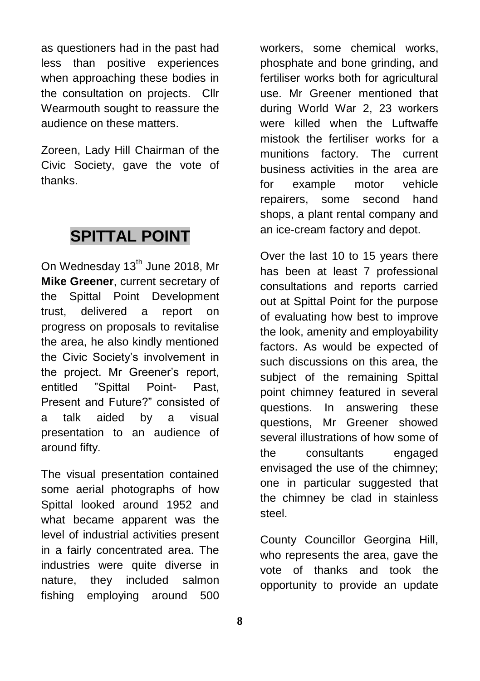as questioners had in the past had less than positive experiences when approaching these bodies in the consultation on projects. Cllr Wearmouth sought to reassure the audience on these matters.

Zoreen, Lady Hill Chairman of the Civic Society, gave the vote of thanks.

### **SPITTAL POINT**

On Wednesday 13<sup>th</sup> June 2018, Mr **Mike Greener**, current secretary of the Spittal Point Development trust, delivered a report on progress on proposals to revitalise the area, he also kindly mentioned the Civic Society's involvement in the project. Mr Greener's report, entitled "Spittal Point- Past, Present and Future?" consisted of a talk aided by a visual presentation to an audience of around fifty.

The visual presentation contained some aerial photographs of how Spittal looked around 1952 and what became apparent was the level of industrial activities present in a fairly concentrated area. The industries were quite diverse in nature, they included salmon fishing employing around 500

workers, some chemical works, phosphate and bone grinding, and fertiliser works both for agricultural use. Mr Greener mentioned that during World War 2, 23 workers were killed when the Luftwaffe mistook the fertiliser works for a munitions factory. The current business activities in the area are for example motor vehicle repairers, some second hand shops, a plant rental company and an ice-cream factory and depot.

Over the last 10 to 15 years there has been at least 7 professional consultations and reports carried out at Spittal Point for the purpose of evaluating how best to improve the look, amenity and employability factors. As would be expected of such discussions on this area, the subject of the remaining Spittal point chimney featured in several questions. In answering these questions, Mr Greener showed several illustrations of how some of the consultants engaged envisaged the use of the chimney; one in particular suggested that the chimney be clad in stainless steel.

County Councillor Georgina Hill, who represents the area, gave the vote of thanks and took the opportunity to provide an update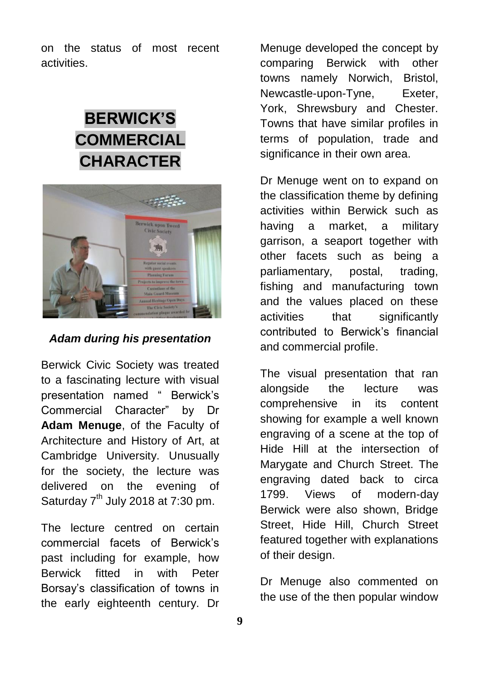on the status of most recent activities.

## **BERWICK'S COMMERCIAL CHARACTER**



*Adam during his presentation*

Berwick Civic Society was treated to a fascinating lecture with visual presentation named " Berwick's Commercial Character" by Dr **Adam Menuge**, of the Faculty of Architecture and History of Art, at Cambridge University. Unusually for the society, the lecture was delivered on the evening of Saturday  $7<sup>th</sup>$  July 2018 at 7:30 pm.

The lecture centred on certain commercial facets of Berwick's past including for example, how Berwick fitted in with Peter Borsay's classification of towns in the early eighteenth century. Dr

Menuge developed the concept by comparing Berwick with other towns namely Norwich, Bristol, Newcastle-upon-Tyne, Exeter, York, Shrewsbury and Chester. Towns that have similar profiles in terms of population, trade and significance in their own area.

Dr Menuge went on to expand on the classification theme by defining activities within Berwick such as having a market, a military garrison, a seaport together with other facets such as being a parliamentary, postal, trading, fishing and manufacturing town and the values placed on these activities that significantly contributed to Berwick's financial and commercial profile.

The visual presentation that ran alongside the lecture was comprehensive in its content showing for example a well known engraving of a scene at the top of Hide Hill at the intersection of Marygate and Church Street. The engraving dated back to circa 1799. Views of modern-day Berwick were also shown, Bridge Street, Hide Hill, Church Street featured together with explanations of their design.

Dr Menuge also commented on the use of the then popular window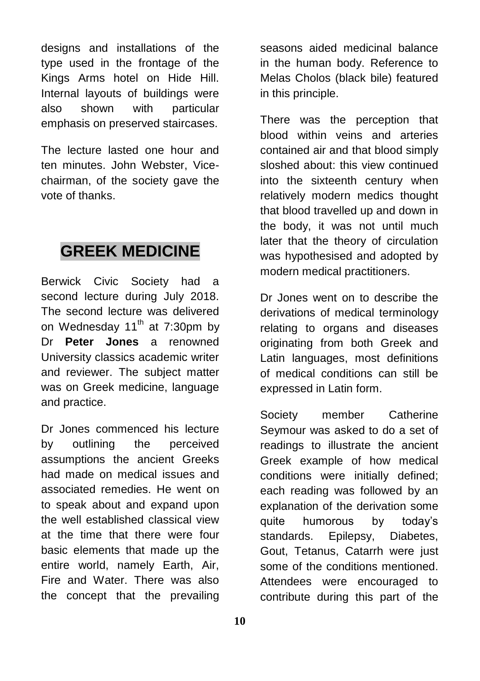designs and installations of the type used in the frontage of the Kings Arms hotel on Hide Hill. Internal layouts of buildings were also shown with particular emphasis on preserved staircases.

The lecture lasted one hour and ten minutes. John Webster, Vicechairman, of the society gave the vote of thanks.

### **GREEK MEDICINE**

Berwick Civic Society had a second lecture during July 2018. The second lecture was delivered on Wednesday  $11^{th}$  at 7:30pm by Dr **Peter Jones** a renowned University classics academic writer and reviewer. The subject matter was on Greek medicine, language and practice.

Dr Jones commenced his lecture by outlining the perceived assumptions the ancient Greeks had made on medical issues and associated remedies. He went on to speak about and expand upon the well established classical view at the time that there were four basic elements that made up the entire world, namely Earth, Air, Fire and Water. There was also the concept that the prevailing

seasons aided medicinal balance in the human body. Reference to Melas Cholos (black bile) featured in this principle.

There was the perception that blood within veins and arteries contained air and that blood simply sloshed about: this view continued into the sixteenth century when relatively modern medics thought that blood travelled up and down in the body, it was not until much later that the theory of circulation was hypothesised and adopted by modern medical practitioners.

Dr Jones went on to describe the derivations of medical terminology relating to organs and diseases originating from both Greek and Latin languages, most definitions of medical conditions can still be expressed in Latin form.

Society member Catherine Seymour was asked to do a set of readings to illustrate the ancient Greek example of how medical conditions were initially defined; each reading was followed by an explanation of the derivation some quite humorous by today's standards. Epilepsy, Diabetes, Gout, Tetanus, Catarrh were just some of the conditions mentioned. Attendees were encouraged to contribute during this part of the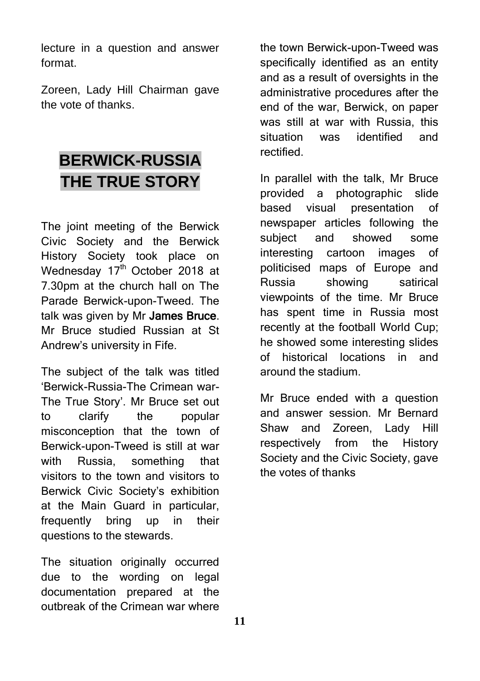lecture in a question and answer format.

Zoreen, Lady Hill Chairman gave the vote of thanks.

## **BERWICK-RUSSIA THE TRUE STORY**

The joint meeting of the Berwick Civic Society and the Berwick History Society took place on Wednesday 17<sup>th</sup> October 2018 at 7.30pm at the church hall on The Parade Berwick-upon-Tweed. The talk was given by Mr James Bruce. Mr Bruce studied Russian at St Andrew's university in Fife.

The subject of the talk was titled 'Berwick-Russia-The Crimean war-The True Story'. Mr Bruce set out to clarify the popular misconception that the town of Berwick-upon-Tweed is still at war with Russia, something that visitors to the town and visitors to Berwick Civic Society's exhibition at the Main Guard in particular, frequently bring up in their questions to the stewards.

The situation originally occurred due to the wording on legal documentation prepared at the outbreak of the Crimean war where the town Berwick-upon-Tweed was specifically identified as an entity and as a result of oversights in the administrative procedures after the end of the war, Berwick, on paper was still at war with Russia, this situation was identified and rectified.

In parallel with the talk, Mr Bruce provided a photographic slide based visual presentation of newspaper articles following the subject and showed some interesting cartoon images of politicised maps of Europe and Russia showing satirical viewpoints of the time. Mr Bruce has spent time in Russia most recently at the football World Cup; he showed some interesting slides of historical locations in and around the stadium.

Mr Bruce ended with a question and answer session. Mr Bernard Shaw and Zoreen, Lady Hill respectively from the History Society and the Civic Society, gave the votes of thanks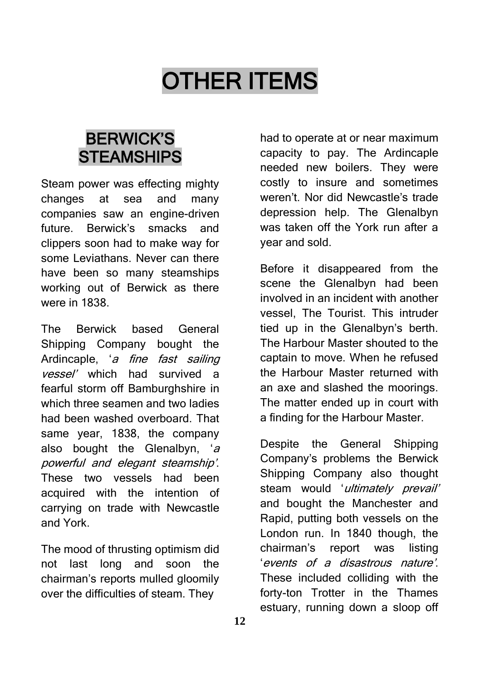# OTHER ITEMS

## BERWICK'S **STEAMSHIPS**

Steam power was effecting mighty changes at sea and many companies saw an engine-driven future. Berwick's smacks and clippers soon had to make way for some Leviathans. Never can there have been so many steamships working out of Berwick as there were in 1838.

The Berwick based General Shipping Company bought the Ardincaple, 'a fine fast sailing vessel' which had survived a fearful storm off Bamburghshire in which three seamen and two ladies had been washed overboard. That same year, 1838, the company also bought the Glenalbyn, 'a powerful and elegant steamship'. These two vessels had been acquired with the intention of carrying on trade with Newcastle and York.

The mood of thrusting optimism did not last long and soon the chairman's reports mulled gloomily over the difficulties of steam. They

had to operate at or near maximum capacity to pay. The Ardincaple needed new boilers. They were costly to insure and sometimes weren't. Nor did Newcastle's trade depression help. The Glenalbyn was taken off the York run after a year and sold.

Before it disappeared from the scene the Glenalbyn had been involved in an incident with another vessel, The Tourist. This intruder tied up in the Glenalbyn's berth. The Harbour Master shouted to the captain to move. When he refused the Harbour Master returned with an axe and slashed the moorings. The matter ended up in court with a finding for the Harbour Master.

Despite the General Shipping Company's problems the Berwick Shipping Company also thought steam would 'ultimately prevail' and bought the Manchester and Rapid, putting both vessels on the London run. In 1840 though, the chairman's report was listing 'events of a disastrous nature'. These included colliding with the forty-ton Trotter in the Thames estuary, running down a sloop off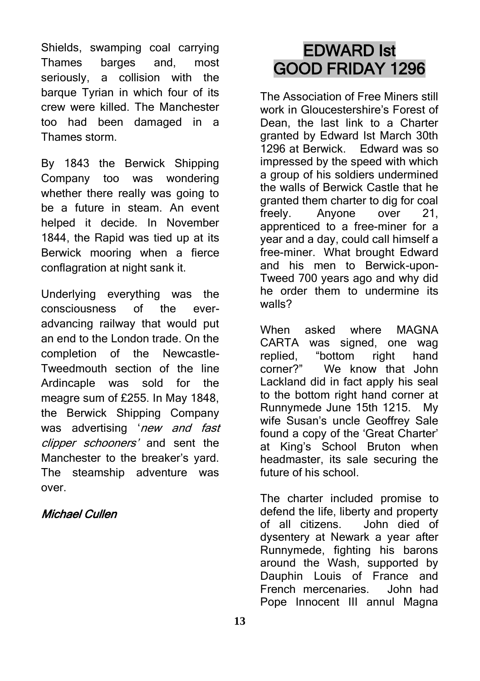Shields, swamping coal carrying Thames barges and, most seriously, a collision with the barque Tyrian in which four of its crew were killed. The Manchester too had been damaged in a Thames storm.

By 1843 the Berwick Shipping Company too was wondering whether there really was going to be a future in steam. An event helped it decide. In November 1844, the Rapid was tied up at its Berwick mooring when a fierce conflagration at night sank it.

Underlying everything was the consciousness of the everadvancing railway that would put an end to the London trade. On the completion of the Newcastle-Tweedmouth section of the line Ardincaple was sold for the meagre sum of £255. In May 1848, the Berwick Shipping Company was advertising 'new and fast clipper schooners' and sent the Manchester to the breaker's yard. The steamship adventure was over.

### Michael Cullen

## EDWARD Ist GOOD FRIDAY 1296

The Association of Free Miners still work in Gloucestershire's Forest of Dean, the last link to a Charter granted by Edward Ist March 30th 1296 at Berwick. Edward was so impressed by the speed with which a group of his soldiers undermined the walls of Berwick Castle that he granted them charter to dig for coal freely. Anyone over 21, apprenticed to a free-miner for a year and a day, could call himself a free-miner. What brought Edward and his men to Berwick-upon-Tweed 700 years ago and why did he order them to undermine its walls?

When asked where MAGNA CARTA was signed, one wag replied, "bottom right hand corner?" We know that John Lackland did in fact apply his seal to the bottom right hand corner at Runnymede June 15th 1215. My wife Susan's uncle Geoffrey Sale found a copy of the 'Great Charter' at King's School Bruton when headmaster, its sale securing the future of his school.

The charter included promise to defend the life, liberty and property of all citizens. John died of dysentery at Newark a year after Runnymede, fighting his barons around the Wash, supported by Dauphin Louis of France and French mercenaries. John had Pope Innocent III annul Magna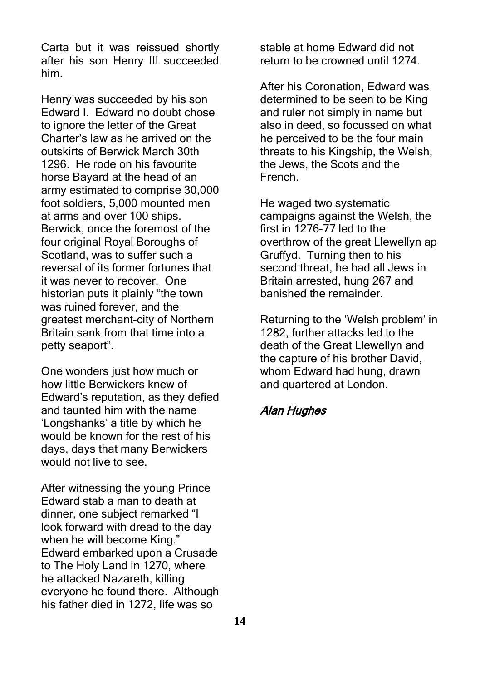Carta but it was reissued shortly after his son Henry III succeeded him.

Henry was succeeded by his son Edward I. Edward no doubt chose to ignore the letter of the Great Charter's law as he arrived on the outskirts of Berwick March 30th 1296. He rode on his favourite horse Bayard at the head of an army estimated to comprise 30,000 foot soldiers, 5,000 mounted men at arms and over 100 ships. Berwick, once the foremost of the four original Royal Boroughs of Scotland, was to suffer such a reversal of its former fortunes that it was never to recover. One historian puts it plainly "the town was ruined forever, and the greatest merchant-city of Northern Britain sank from that time into a petty seaport".

One wonders just how much or how little Berwickers knew of Edward's reputation, as they defied and taunted him with the name 'Longshanks' a title by which he would be known for the rest of his days, days that many Berwickers would not live to see.

After witnessing the young Prince Edward stab a man to death at dinner, one subject remarked "I look forward with dread to the day when he will become King." Edward embarked upon a Crusade to The Holy Land in 1270, where he attacked Nazareth, killing everyone he found there. Although his father died in 1272, life was so

stable at home Edward did not return to be crowned until 1274.

After his Coronation, Edward was determined to be seen to be King and ruler not simply in name but also in deed, so focussed on what he perceived to be the four main threats to his Kingship, the Welsh, the Jews, the Scots and the French.

He waged two systematic campaigns against the Welsh, the first in 1276-77 led to the overthrow of the great Llewellyn ap Gruffyd. Turning then to his second threat, he had all Jews in Britain arrested, hung 267 and banished the remainder.

Returning to the 'Welsh problem' in 1282, further attacks led to the death of the Great Llewellyn and the capture of his brother David, whom Edward had hung, drawn and quartered at London.

### Alan Hughes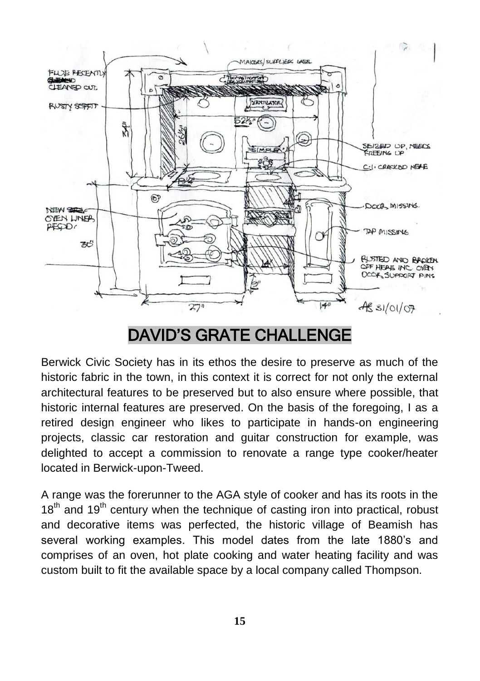

## DAVID'S GRATE CHALLENGE

Berwick Civic Society has in its ethos the desire to preserve as much of the historic fabric in the town, in this context it is correct for not only the external architectural features to be preserved but to also ensure where possible, that historic internal features are preserved. On the basis of the foregoing, I as a retired design engineer who likes to participate in hands-on engineering projects, classic car restoration and guitar construction for example, was delighted to accept a commission to renovate a range type cooker/heater located in Berwick-upon-Tweed.

A range was the forerunner to the AGA style of cooker and has its roots in the  $18<sup>th</sup>$  and  $19<sup>th</sup>$  century when the technique of casting iron into practical, robust and decorative items was perfected, the historic village of Beamish has several working examples. This model dates from the late 1880's and comprises of an oven, hot plate cooking and water heating facility and was custom built to fit the available space by a local company called Thompson.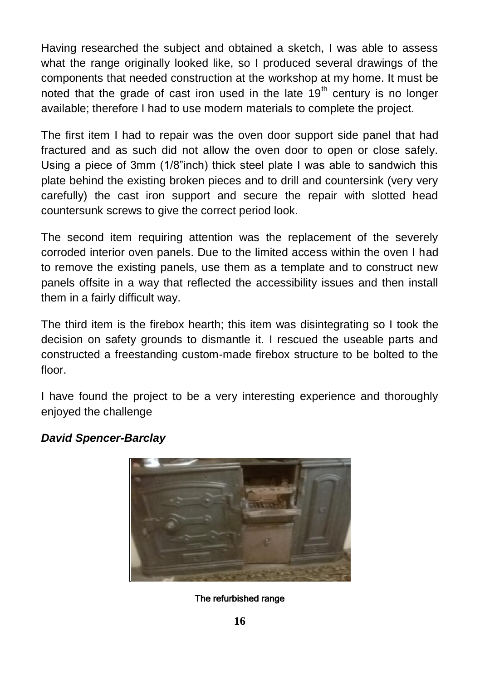Having researched the subject and obtained a sketch, I was able to assess what the range originally looked like, so I produced several drawings of the components that needed construction at the workshop at my home. It must be noted that the grade of cast iron used in the late  $19<sup>th</sup>$  century is no longer available; therefore I had to use modern materials to complete the project.

The first item I had to repair was the oven door support side panel that had fractured and as such did not allow the oven door to open or close safely. Using a piece of 3mm (1/8"inch) thick steel plate I was able to sandwich this plate behind the existing broken pieces and to drill and countersink (very very carefully) the cast iron support and secure the repair with slotted head countersunk screws to give the correct period look.

The second item requiring attention was the replacement of the severely corroded interior oven panels. Due to the limited access within the oven I had to remove the existing panels, use them as a template and to construct new panels offsite in a way that reflected the accessibility issues and then install them in a fairly difficult way.

The third item is the firebox hearth; this item was disintegrating so I took the decision on safety grounds to dismantle it. I rescued the useable parts and constructed a freestanding custom-made firebox structure to be bolted to the floor.

I have found the project to be a very interesting experience and thoroughly enjoyed the challenge



### *David Spencer-Barclay*

The refurbished range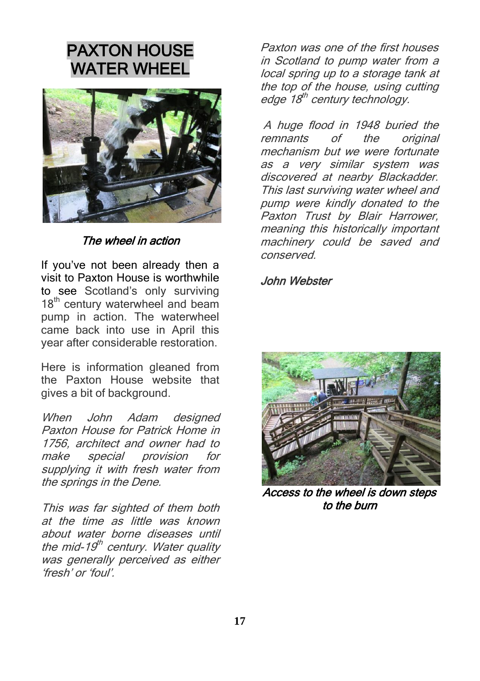## PAXTON HOUSE WATER WHEEL



The wheel in action

If you've not been already then a visit to Paxton House is worthwhile to see Scotland's only surviving 18<sup>th</sup> century waterwheel and beam pump in action. The waterwheel came back into use in April this year after considerable restoration.

Here is information gleaned from the Paxton House website that gives a bit of background.

When John Adam designed Paxton House for Patrick Home in 1756, architect and owner had to make special provision for supplying it with fresh water from the springs in the Dene.

This was far sighted of them both at the time as little was known about water borne diseases until the mid-19<sup>th</sup> century. Water quality was generally perceived as either 'fresh' or 'foul'.

Paxton was one of the first houses in Scotland to pump water from a local spring up to a storage tank at the top of the house, using cutting edge 18<sup>th</sup> century technology.

A huge flood in 1948 buried the<br>remnants of the original remnants of the original mechanism but we were fortunate as a very similar system was discovered at nearby Blackadder. This last surviving water wheel and pump were kindly donated to the Paxton Trust by Blair Harrower, meaning this historically important machinery could be saved and conserved.

John Webster



Access to the wheel is down steps to the burn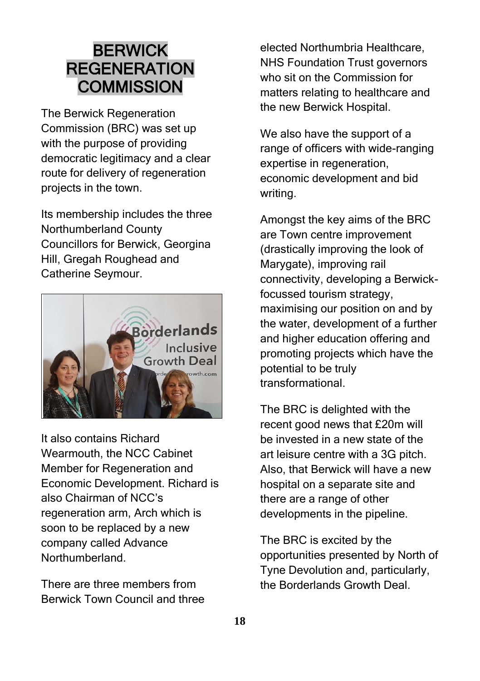### BERWICK **REGENERATION COMMISSION**

The Berwick Regeneration Commission (BRC) was set up with the purpose of providing democratic legitimacy and a clear route for delivery of regeneration projects in the town.

Its membership includes the three Northumberland County Councillors for Berwick, Georgina Hill, Gregah Roughead and Catherine Seymour.



It also contains Richard Wearmouth, the NCC Cabinet Member for Regeneration and Economic Development. Richard is also Chairman of NCC's regeneration arm, Arch which is soon to be replaced by a new company called Advance Northumberland.

There are three members from Berwick Town Council and three

elected Northumbria Healthcare, NHS Foundation Trust governors who sit on the Commission for matters relating to healthcare and the new Berwick Hospital.

We also have the support of a range of officers with wide-ranging expertise in regeneration, economic development and bid writing.

Amongst the key aims of the BRC are Town centre improvement (drastically improving the look of Marygate), improving rail connectivity, developing a Berwickfocussed tourism strategy, maximising our position on and by the water, development of a further and higher education offering and promoting projects which have the potential to be truly transformational.

The BRC is delighted with the recent good news that £20m will be invested in a new state of the art leisure centre with a 3G pitch. Also, that Berwick will have a new hospital on a separate site and there are a range of other developments in the pipeline.

The BRC is excited by the opportunities presented by North of Tyne Devolution and, particularly, the Borderlands Growth Deal.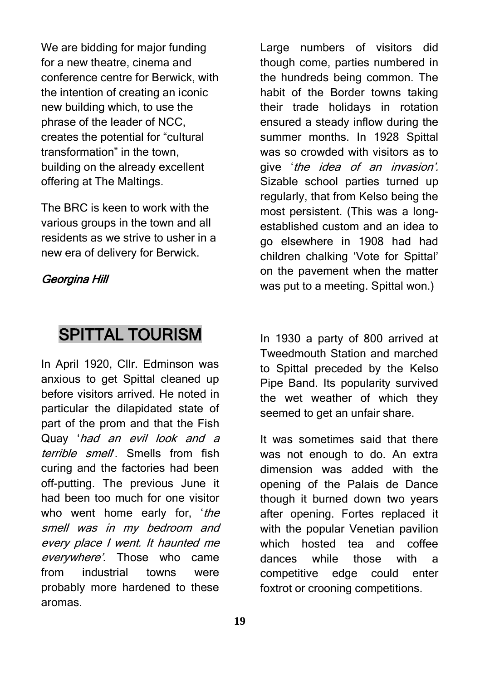We are bidding for major funding for a new theatre, cinema and conference centre for Berwick, with the intention of creating an iconic new building which, to use the phrase of the leader of NCC, creates the potential for "cultural transformation" in the town, building on the already excellent offering at The Maltings.

The BRC is keen to work with the various groups in the town and all residents as we strive to usher in a new era of delivery for Berwick.

### Georgina Hill

### SPITTAL TOURISM

In April 1920, Cllr. Edminson was anxious to get Spittal cleaned up before visitors arrived. He noted in particular the dilapidated state of part of the prom and that the Fish Quay 'had an evil look and a terrible smell. Smells from fish curing and the factories had been off-putting. The previous June it had been too much for one visitor who went home early for, 'the smell was in my bedroom and every place I went. It haunted me everywhere'. Those who came from industrial towns were probably more hardened to these aromas.

Large numbers of visitors did though come, parties numbered in the hundreds being common. The habit of the Border towns taking their trade holidays in rotation ensured a steady inflow during the summer months. In 1928 Spittal was so crowded with visitors as to give 'the idea of an invasion'. Sizable school parties turned up regularly, that from Kelso being the most persistent. (This was a longestablished custom and an idea to go elsewhere in 1908 had had children chalking 'Vote for Spittal' on the pavement when the matter was put to a meeting. Spittal won.)

In 1930 a party of 800 arrived at Tweedmouth Station and marched to Spittal preceded by the Kelso Pipe Band. Its popularity survived the wet weather of which they seemed to get an unfair share.

It was sometimes said that there was not enough to do. An extra dimension was added with the opening of the Palais de Dance though it burned down two years after opening. Fortes replaced it with the popular Venetian pavilion which hosted tea and coffee dances while those with a competitive edge could enter foxtrot or crooning competitions.